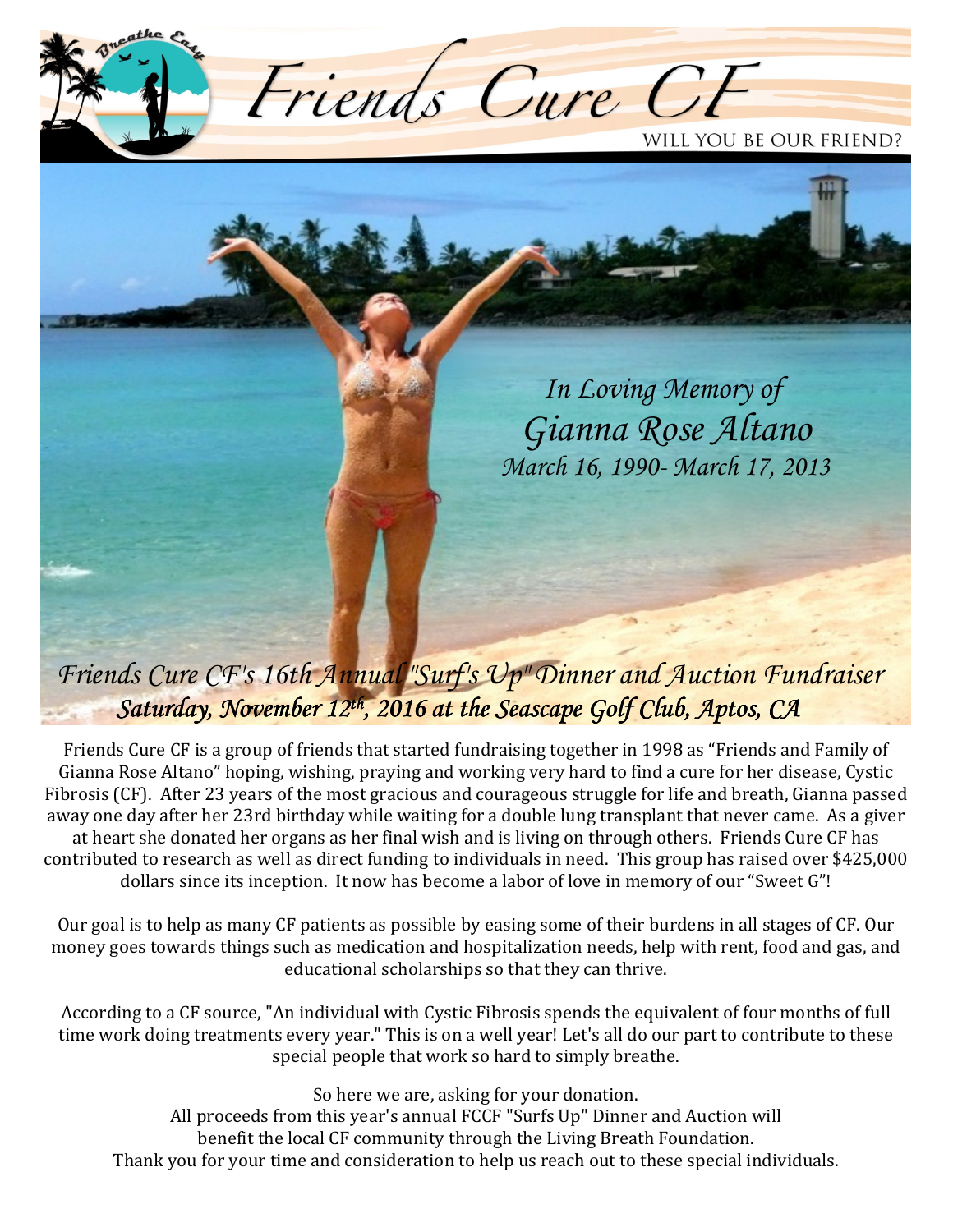

 *In Loving Memory of Gianna Rose Altano March 16, 1990- March 17, 2013* 

## *Friends Cure CF's 16th Annual "Surf's Up" Dinner and Auction Fundraiser Saturday, November 12<sup>th</sup>, 2016 at the Seascape Golf Club, Aptos, CA*

Friends Cure CF is a group of friends that started fundraising together in 1998 as "Friends and Family of Gianna Rose Altano" hoping, wishing, praying and working very hard to find a cure for her disease, Cystic Fibrosis (CF). After 23 years of the most gracious and courageous struggle for life and breath, Gianna passed away one day after her 23rd birthday while waiting for a double lung transplant that never came. As a giver at heart she donated her organs as her final wish and is living on through others. Friends Cure CF has contributed to research as well as direct funding to individuals in need. This group has raised over \$425,000 dollars since its inception. It now has become a labor of love in memory of our "Sweet G"!

Our goal is to help as many CF patients as possible by easing some of their burdens in all stages of CF. Our money goes towards things such as medication and hospitalization needs, help with rent, food and gas, and educational scholarships so that they can thrive.

According to a CF source, "An individual with Cystic Fibrosis spends the equivalent of four months of full time work doing treatments every year." This is on a well year! Let's all do our part to contribute to these special people that work so hard to simply breathe.

So here we are, asking for your donation. All proceeds from this year's annual FCCF "Surfs Up" Dinner and Auction will benefit the local CF community through the Living Breath Foundation. Thank you for your time and consideration to help us reach out to these special individuals.